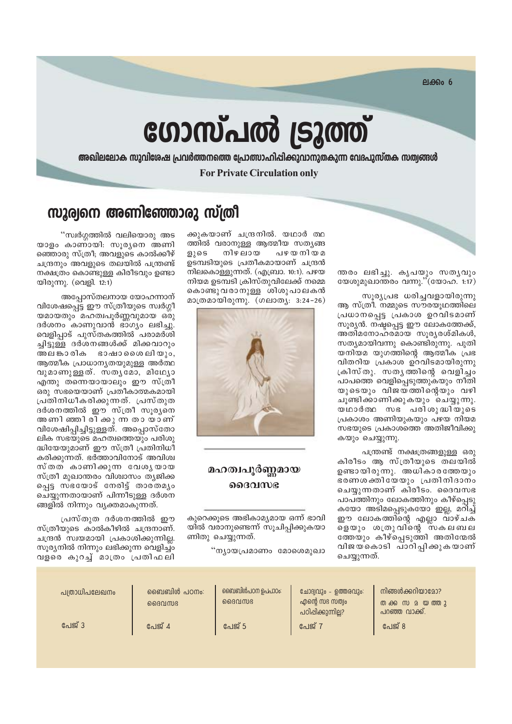$PIAB006$ 

# ഗോസ്പൽ ട്രൂത്ത്

അഖിലലോക സുവിശേഷ പ്രവർത്തനത്തെ പ്രോത്സാഹിപ്പിക്കുവാനുതകുന്ന വേദപുസ്തക സത്വങ്ങൾ

**For Private Circulation only** 

## സുര്വനെ അണിഞ്ഞോരു സ്ത്രീ

ന്തരം ലഭിച്ചു. കൃപയും സതൃവും യേശുമുഖാന്തരം വന്നു." $(\text{two non. 1:17})$ 

സൂര്യപ്രഭ ധരിച്ചവളായിരുന്നു ആ സ്ത്രീ. നമ്മുടെ സൗരയൂഥത്തിലെ പ്രധാനപ്പെട്ട പ്രകാശ ഉറവിടമാണ് സൂര്യൻ. നഷ്ടപ്പെട്ട ഈ ലോകത്തേക്ക്, അതിമനോഹര്മായ സൂര്യരശ്മികൾ, സത്യമായിവന്നു കൊണ്ടിരുന്നു. പുതി യനിയമ യുഗത്തിന്റെ ആത്മീക പ്രഭ വിതറിയ പ്രകാശ ഉറവിടമായിരുന്നു ക്രിസ്തു. സതൃത്തിന്റെ വെളിച്ചം പാപത്തെ വെളിപ്പെടുത്തുകയും നീതി യുടെയും വിജയത്തിന്റെയും വഴി ചൂണ്ടിക്കാണിക്കുകയും ചെയ്യുന്നു. യഥാർത്ഥ സഭ പരിശുദ്ധിയുടെ പ്രകാശം അണിയുകയും പഴയ നിയമ സഭയുടെ പ്രകാശത്തെ അതിജീവിക്കു കയും ചെയ്യുന്നു.

പന്ത്രണ്ട് നക്ഷത്രങ്ങളുള്ള ഒരു കിരീടം ആ സ്ത്രീയുടെ തലയിൽ ഉണ്ടായിരുന്നു. അധികാരത്തേയും ഭരണശക്തിയേയും പ്രതിനിദാനം ചെയ്യുന്നതാണ് കിരീടം. ദൈവസഭ പാപ്ത്തിനും ലോകത്തിനും കീഴ്പ്പെടു കയോ അടിമപ്പെടുകയോ ഇല്ല, മറിച്ച് ഈ ലോകത്തിന്റെ എല്ലാ വാഴ്ചക ളെയും ശത്രുവിന്റെ സകലബല ത്തേയും കീഴ്പ്പെടുത്തി അതിന്മേൽ വിജയകൊടി പാറിപ്പിക്കുകയാണ് ചെയ്യുന്നത്.

ക്കുകയാണ് ചന്ദ്രനിൽ. യഥാർ ത്ഥ ത്തിൽ വരാനുള്ള ആത്മീയ സത്യങ്ങ പഴയനിയമ ളുടെ നിഴ ലായ ഉടമ്പടിയുടെ പ്രതീകമായാണ് ചന്ദ്രൻ നിലകൊള്ളുന്നത്. (എബ്രാ. 10:1). പഴയ നിയമ ഉടമ്പടി ക്രിസ്തുവിലേക്ക് നമ്മെ കൊണ്ടുവരാനുള്ള ശിശുപാലകൻ മാത്രമായിരുന്നു. (ഗലാത്യ: 3:24-26)



#### മഹത്വപൂർണ്ണമായ ദൈവസഭ

കുറെക്കുടെ അഭികാമ്യമായ ഒന്ന് ഭാവി യിൽ വരാനുണ്ടെന്ന് സൂചിപ്പിക്കുകയാ ണിതു ചെയ്യുന്നത്.

്ന്യായപ്രമാണം മോശെമുഖാ

"സ്വർഗ്ഗത്തിൽ വലിയൊരു അട യാളം കാണായി. സൂര്യനെ അണി ഞ്ഞാരു സ്ത്രീ; അവളുടെ കാൽക്കീഴ് ചന്ദ്രനും അവളുടെ തലയിൽ പന്ത്രണ്ട് നക്ഷത്രം കൊണ്ടുള്ള കിരീടവും ഉണ്ടാ യിരുന്നു. (വെളി. 12:1)

അപ്പോസ്തലനായ യോഹന്നാന് വിശേഷപ്പെട്ട ഈ സ്ത്രീയുടെ സ്വർഗ്ഗീ യമായതും മഹത്വപൂർണവുമായ ഒരു ദർശനം കാണുവാൻ ഭാഗ്യം ലഭിച്ചു. വെളിപ്പാട് പുസ്തകത്തിൽ പരാമര്ശി ചിട്ടുള്ള ദർശനങ്ങൾക്ക് മിക്കവാറും അല ങ്കാ രിക ഭാഷാ ശൈ ലിയും, ആത്മീക പ്രാധാന്യതയുമുള്ള അർത്ഥ വുമാണുള്ളത്. സതൃമോ, മിഥ്യോ എന്തു തന്നെയായാലും ഈ സ്ത്രീ ഒരു സഭയെയാണ് പ്രതീകാത്മകമായി പ്രതിനിധീകരിക്കുന്നത്. പ്രസ്തുത ദർശനത്തിൽ ഈ സ്ത്രീ സൂര്യനെ അണി ഞ്ഞി രി ക്കുന്ന തായാണ് വിശേഷിപ്പിച്ചിട്ടുള്ളത്. അപ്പൊസ്തോ ലിക സഭയുടെ മഹത്വത്തെയും പരിശു ദ്ധിയേയുമാണ് ഈ സ്ത്രീ പ്രതിനിധീ കരിക്കുന്നത്. ഭർത്താവിനോട് അവിശ്വ സ്തത് കാണിക്കുന്ന വേശൃയായ സ്ത്രീ മുഖാന്തരം വിശ്വാസം തൃജിക്ക പ്പെട്ട സഭയോട് നേരിട്ട് താര്തമ്യം ചെയ്യന്നതായാണ് പിന്നീടുള്ള ദർശന ങ്ങളിൽ നിന്നും വ്യക്തമാകുന്നത്.

പ്രസ്തുത ദർശനത്തിൽ ഈ സ്ത്രീയുടെ കാൽകീഴിൽ ചന്ദ്രനാണ്. ചന്ദ്രൻ സ്വയമായി പ്രകാശിക്കുന്നില്ല. സൂര്യനിൽ നിന്നും ലഭിക്കുന്ന വെളിച്ച്ം വളരെ കുറച്ച് മാത്രം പ്രതിഫലി

| പത്രാധിപലേഖനം | ബൈബിൾ പഠനം:<br>ൈവസഭ | ബൈബിൾപഠന ഉപപാഠം:<br>ൈവസഭ | ചോദ്വവും - ഉത്തരവും:<br>എന്റെ സഭ സത്വം<br>പഠിപ്പിക്കുന്നില്ല? | നിങ്ങൾക്കറിയാമോ?<br>തക്ക സ മ യ ത്തു<br>പറഞ്ഞ വാക്ക്. |
|---------------|---------------------|--------------------------|---------------------------------------------------------------|------------------------------------------------------|
| പേജ് 3        | പേജ് 4              | പേജ് 5                   | പേജ് 7                                                        | പേജ് 8                                               |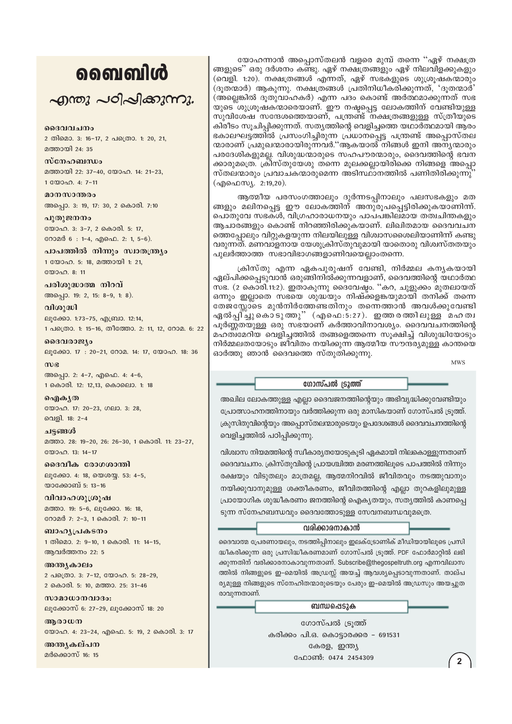## ൭൭ഩ൏൮഻഻഻൪

എന്തു പഠിപ്പിക്കുന്നു.

#### ദൈവവചനം

2 തിമൊ. 3: 16-17, 2 പത്രൊ. 1: 20, 21, മത്തായി 24: 35

#### സ്നേഹബന്ധം മത്തായി 22: 37-40, യോഹ. 14: 21-23, 1 00000. 4: 7-11

മാനസാന്തരം അപ്പൊ. 3: 19, 17: 30, 2 കൊരി. 7:10

പുതുജനനം യോഹ. 3: 3-7, 2 കൊരി. 5: 17, റോമർ 6: 1-4, എഫെ. 2: 1, 5-6).

പാപത്തിൽ നിന്നും സ്വാതന്ത്ര്യം 1 യോഹ. 5: 18, മത്തായി 1: 21, യോഹ. 8: 11

പരിശുദ്ധാത്മ നിറവ് അപ്പൊ. 19: 2, 15: 8-9, 1: 8).

വിശുദ്ധി ലൂക്കോ. 1:73-75, എബ്രാ. 12:14, 1 പത്രൊ. 1: 15-16, തീത്തോ. 2: 11, 12, റോമ. 6: 22

ദൈവരാജ്യം ലൂക്കോ. 17: 20-21, റോമ. 14: 17, യോഹ. 18: 36

 $m$ ) $\epsilon$ അപ്പൊ. 2: 4-7, എഫെ. 4: 4-6, 1 കൊരി. 12: 12,13, കൊലൊ. 1: 18

ഐകൃത യോഹ. 17: 20-23, ഗലാ. 3: 28, വെളി. 18: 2-4

ചട്ടങ്ങൾ മത്താ. 28: 19-20, 26: 26-30, 1 കൊരി. 11: 23-27,  $\mathbb{R}^{(0)}$ 

ദൈവീക രോഗശാന്തി ലൂക്കോ. 4: 18, യെശയ്യ. 53: 4-5, യാക്കോബ് 5: 13-16

വിവാഹശൂശ്രൂഷ മത്താ. 19: 5-6, ലുക്കോ. 16: 18, റോമർ 7: 2-3, 1 കൊരി. 7: 10-11

ബാഹൃപ്രകടനം 1 തിമൊ. 2: 9-10, 1 കൊരി. 11: 14-15, ആവർത്തനം 22: 5

അന്ത്യകാലം 2 പക്രൊ. 3: 7-12, യോഹ. 5: 28-29, 2 കൊരി. 5: 10, മത്താ. 25: 31-46

സാമാധാനവാദം: ലൂക്കോസ് 6: 27-29, ലൂക്കോസ് 18: 20

ആരാധന യോഹ. 4: 23-24, എഫെ. 5: 19, 2 കൊരി. 3: 17

അന്തൃകല്പന മർക്കൊസ് 16: 15

യോഹന്നാൻ അപ്പൊസ്തലൻ വളരെ മുമ്പ് തന്നെ ''ഏഴ് നക്ഷത്ര ങ്ങളുടെ'' ഒരു ദർശനം കണ്ടു. ഏഴ് നക്ഷത്രങ്ങളും ഏഴ് നിലവിളക്കുകളും (വെളി. 1:20). നക്ഷത്രങ്ങൾ എന്നത്, ഏഴ് സഭകളുടെ ശുശ്രൂഷകന്മാരും (ദൂതന്മാർ) ആകുന്നു. നക്ഷത്രങ്ങൾ പ്രതിനിധീകരിക്കുന്നത്, 'ദൂതന്മാർ' (അല്ലെങ്കിൽ ദൂതുവാഹകർ) എന്ന പദം കൊണ്ട് അർത്ഥമാക്കുന്നത് സഭ യുടെ ്ശുശ്രൂഷകന്മാരെയാണ്. ഈ നഷ്ടപ്പെട്ട ലോകത്തിന് വേണ്ടിയുള്ള സുവിശേഷ സന്ദേശത്തെയാണ്, പന്ത്രണ്ട് നക്ഷത്രങ്ങളുള്ള സ്ത്രീയുടെ കിരീടം സൂചിപ്പിക്കുന്നത്. സതൃത്തിന്റെ വെളിച്ചത്തെ യഥാർത്ഥമായി ആരം ഭകാലഘട്ടത്തിൽ പ്രസംഗിച്ചിരുന്ന പ്രധാനപ്പെട്ട പന്ത്രണ്ട് അപ്പൊസ്തല ന്മാരാണ് പ്രമുഖന്മാരായിരുന്നവർ.''ആകയാൽ നിങ്ങൾ ഇനി അന്യന്മാരും പരദേശികളുമല്ല. വിശുദ്ധന്മാരുടെ സഹപൗരന്മാരും, ദൈവത്തിന്റെ ഭവന ക്കാരുമത്രെ. ക്രീസ്തുയേശു തന്നെ മൂലക്കല്ലായിരിക്കെ നിങ്ങളെ അപ്പൊ സ്തലന്മാരും പ്രവാചകന്മാരുമെന്ന അടിസ്ഥാനത്തിൽ പണിതിരിക്കുന്നു (എഫെസ്യ. 2:19,20).

ആത്മീയ പരസംഗത്താലും ദുർന്നടപ്പിനാലും പലസഭകളും മത ങ്ങളും മലിനപ്പെട്ട ഈ ലോകത്തിന് അനുരൂപപ്പെട്ടിരിക്കുകയാണിന്ന്. പൊതുവേ സഭകൾ, വിഗ്രഹാരാധനയും പാപപങ്കിലമായ തത്വചിന്തകളും ആചാരങ്ങളും കൊണ്ട് നിറഞ്ഞിരിക്കുകയാണ്. ലിഖിതമായ ദൈവവചന ത്തെപ്പോലും വിറ്റുകളയുന്ന നിലയിലുള്ള വിശ്വാസശൈലിയാണിന്ന് കണ്ടു വരുന്നത്. മണവാളനായ യേശുക്രിസ്തുവുമായി യാതൊരു വിശ്വസ്തതയും പുലർത്താത്ത സഭാവിഭാഗങ്ങളാണിവയെല്ലാംതന്നെ.

ക്രിസ്തു എന്ന ഏകപുരുഷന് വേണ്ടി, നിർമ്മല കന്യകയായി ഏല്പിക്കപ്പെടുവാൻ ഒരുങ്ങിനിൽക്കുന്നവളാണ്, ദൈവത്തിന്റെ യഥാർത്ഥ സഭ. (2 കൊരി.11:2). ഇതാകുന്നു ദൈവേഷ്ഠം. ''കറ, ചുളുക്കം മുതലായത് ഒന്നും ഇല്ലാതെ സഭയെ ശുദ്ധയും നിഷ്ക്കളങ്കയുമായി തനിക്ക് തന്നെ തേജസ്സോടെ മുൻനിർത്തേണ്ടതിനും തന്നെത്താൻ അവൾക്കുവേണ്ടി ഏൽപിച്ചുകൊടുത്തു" (എഫെ:5:27). ഇത്തരത്തിലുള്ള മഹത്വ പൂർണ്ണതയുള്ള ഒരു സഭയാണ് കർത്താവിനാവശ്യം. ദൈവവചനത്തിന്റെ മഹത്വമേറിയ വെളിച്ചത്തിൽ തങ്ങളെത്തന്നെ സുക്ഷിച്ച് വിശുദ്ധിയോടും നിർമ്മലതയോടും ജീവിതം നയിക്കുന്ന ആത്മീയ സൗന്ദര്യമുള്ള കാന്തയെ ഓർത്തു ഞാൻ ദൈവത്തെ സ്തുതിക്കുന്നു.

**MWS** 

#### ഗോസ്പൽ ട്രൂത്ത്

അഖില ലോകത്തുള്ള എല്ലാ ദൈവജനത്തിന്റെയും അഭിവൃദ്ധിക്കുവേണ്ടിയും പ്രോത്സാഹനത്തിനായും വർത്തിക്കുന്ന ഒരു മാസികയാണ് ഗോസ്പൽ ട്രുത്ത്. ക്രുസിതുവിന്റെയും അപ്പൊസ്തലന്മാരുടെയും ഉപദേശങ്ങൾ ദൈവവചനത്തിന്റെ വെളിച്ചത്തിൽ പഠിപ്പിക്കുന്നു.

വിശ്വാസ നിയമത്തിന്റെ സ്വീകാര്യതയോടുകൂടി ഏകമായി നിലകൊള്ളുന്നതാണ് ദൈവവചനം. ക്രിസ്തുവിന്റെ പ്രായശ്ചിത്ത മരണത്തിലൂടെ പാപത്തിൽ നിന്നും രക്ഷയും വിടുതലും മാത്രമല്ല, ആത്മനിറവിൽ ജീവിതവും നടത്തുവാനും നയിക്കുവാനുമുള്ള ശക്തീകരണം, ജീവിതത്തിന്റെ എല്ലാ തുറകളിലുമുള്ള പ്രായോഗിക ശുദ്ധീകരണം ജനത്തിന്റെ ഐക്യതയും, സത്യത്തിൽ കാണപ്പെ ടുന്ന സ്നേഹബന്ധവും ദൈവത്തോടുള്ള സേവനബന്ധവുമത്രെ.

#### വരിക്കാരനാകാൻ

ദൈവാത്മ പ്രേരണായലും, നടത്തിപ്പിനാലും ഇലക്ട്രോണിക് മീഡിയായിലൂടെ പ്രസി ദ്ധീകരിക്കുന്ന ഒരു പ്രസിദ്ധീകരണമാണ് ഗോസ്പൽ ട്രുത്ത്. PDF ഫോർമാറ്റിൽ ലഭി ക്കുന്നതിന് വരിക്കാരനാകാവുന്നതാണ്. Subscribe@thegospeltruth.org എന്നവിലാസ ത്തിൽ നിങ്ങളുടെ ഇ-മെയിൽ അഡ്രസ്സ് അയച്ച് ആവശ്യപ്പെടാവുന്നതാണ്. താല്പ ര്യമുള്ള നിങ്ങളുടെ സ്നേഹിതന്മാരുടെയും പേരും ഇ-മെയിൽ അഡ്രസും അയച്ചുത രാവുന്നതാണ്.

ബന്ധപ്പെടുക

ഗോസ്പൽ ട്രുത്ത് കരിക്കം പി.ഒ. കൊട്ടാരക്കര - 691531 കേരള, ഇന്ത്യ ഫോൺ: 0474 2454309

 $\overline{2}$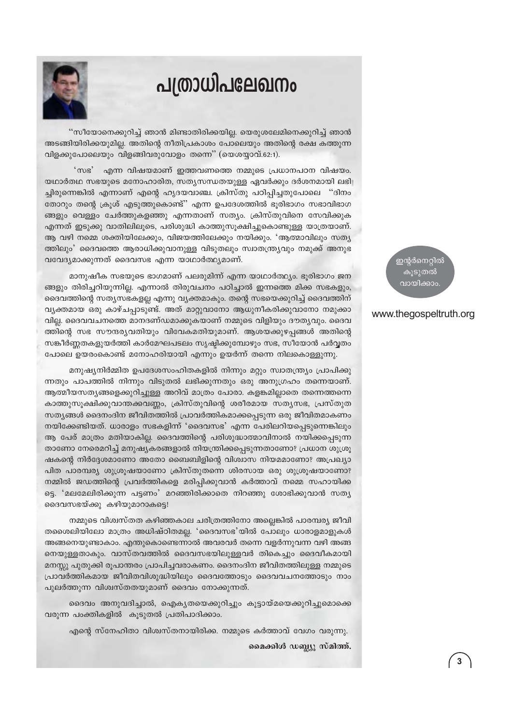## പത്രാധിപലേഖനം

"സീയോനെക്കുറിച്ച് ഞാൻ മിണ്ടാതിരിക്കയില്ല. യെരുശലേമിനെക്കുറിച്ച് ഞാൻ അടങ്ങിയിരിക്കയുമില്ല. അതിന്റെ നീതിപ്രകാശം പോലെയും അതിന്റെ രക്ഷ കത്തുന്ന വിളക്കുപോലെയും വിളങ്ങിവരുവോളം തന്നെ" (യെശയ്യാവ്.62:1).

 $^{\circ}$  me $^{\circ}$ എന്ന വിഷയമാണ് ഇത്തവണത്തെ നമ്മുടെ പ്രധാനപഠന വിഷയം. യഥാർതഥ സഭയുടെ മനോഹാരിത, സതൃസന്ധതയുള്ള ഏവർക്കും ദർശനമായി ലഭി ച്ചിരുന്നെങ്കിൽ എന്നാണ് എന്റെ ഹൃദയവാഞ്ച. ക്രിസ്തു പഠിപ്പിച്ചതുപോലെ "ദിനം തോറും തന്റെ ക്രുശ് എടുത്തുകൊണ്ട്'' എന്ന ഉപദേശത്തിൽ ഭൂരിഭാഗം സഭാവിഭാഗ ങ്ങളും വെള്ളം ചേർത്തുകളഞ്ഞു എന്നതാണ് സത്യം. ക്രിസ്തുവിനെ സേവിക്കുക എന്നത് ഇടുക്കു വാതിലിലൂടെ, പരിശുദ്ധി കാത്തുസൂക്ഷിച്ചുകൊണ്ടുള്ള യാത്രയാണ്. ആ വഴി നമ്മെ ശക്തിയിലേക്കും, വിജയത്തിലേക്കും നയിക്കും. 'ആത്മാവിലും സത്യ ത്തിലും' ദൈവത്തെ ആരാധിക്കുവാനുള്ള വിടുതലും സ്വാതന്ത്ര്യവും നമുക്ക് അനുഭ വവേദ്യമാക്കുന്നത് ദൈവസഭ എന്ന യാഥാർത്ഥ്യമാണ്.

മാനുഷീക സഭയുടെ ഭാഗമാണ് പലരുമിന്ന് എന്ന യാഥാർത്ഥ്യം. ഭൂരിഭാഗം ജന ങ്ങളും തിരിച്ചറിയുന്നില്ല. എന്നാൽ തിരുവചനം പഠിച്ചാൽ ഇന്നത്തെ മിക്ക സഭകളും, ദൈവത്തിന്റെ സത്യസഭകളല്ല എന്നു വ്യക്തമാകും. തന്റെ സഭയെക്കുറിച്ച് ദൈവത്തിന് വൃക്തമായ ഒരു കാഴ്ചപ്പാടുണ്ട്. അത് മാറ്റുവാനോ ആധുനീകരിക്കുവാനോ നമുക്കാ വില്ല. ദൈവവചനത്തെ മാനദണ്ഡമാക്കുകയാണ് നമ്മുടെ വിളിയും ദൗത്യവും. ദൈവ ത്തിന്റെ സഭ സൗന്ദര്യവതിയും വിവേകമതിയുമാണ്. ആശയക്കുഴപ്പങ്ങൾ അതിന്റെ സങ്കീർണ്ണതകളുയർത്തി കാർമേഘപടലം സൃഷ്ടിക്കുമ്പോഴും സഭ, സീയോൻ പർവ്വതം പോലെ ഉയരംകൊണ്ട് മനോഹരിയായി എന്നും ഉയർന്ന് തന്നെ നിലകൊള്ളുന്നു.

മനുഷ്യനിർമ്മിത ഉപദേശസംഹിതകളിൽ നിന്നും മറ്റും സ്വാതന്ത്ര്യം പ്രാപിക്കു ന്നതും പാപത്തിൽ നിന്നും വിടുതൽ ലഭിക്കുന്നതും ഒരു അനുഗ്രഹം തന്നെയാണ്. ആത്മീയസത്യങ്ങളെക്കുറിച്ചുള്ള അറിവ് മാത്രം പോരാ. കളങ്കമില്ലാതെ തന്നെത്തന്നെ കാത്തുസൂക്ഷിക്കുവാന്തക്കവണ്ണം, ക്രിസ്തുവിന്റെ ശരീരമായ സത്യസഭ, പ്രസ്തുത സത്യങ്ങൾ ദൈനംദിന ജീവിതത്തിൽ പ്രാവർത്തികമാക്കപ്പെടുന്ന ഒരു ജീവിതമാകണം നയിക്കേണ്ടിയത്. ധാരാളം സഭകളിന്ന് 'ദൈവസഭ' എന്ന പേരിലറിയപ്പെടുന്നെങ്കിലും ആ പേര് മാത്രം മതിയാകില്ല. ദൈവത്തിന്റെ പരിശുദ്ധാത്മാവിനാൽ നയിക്കപ്പെടുന്ന താണോ നേരെമറിച്ച് മനുഷ്യകരങ്ങളാൽ നിയന്ത്രിക്കപ്പെടുന്നതാണോ? പ്രധാന ശുശ്രൂ ഷകന്റെ നിർദ്ദേശമാണോ അതോ ബൈബിളിന്റെ വിശ്വാസ നിയമമാണോ? അപ്രഖ്യാ പിത പാരമ്പര്യ ശുശ്രൂഷയാണോ ക്രിസ്തുതന്നെ ശിരസായ ഒരു ശുശ്രൂഷയാണോ? നമ്മിൽ ജഡത്തിന്റെ പ്രവർത്തികളെ മരിപ്പിക്കുവാൻ കർത്താവ് നമ്മെ സഹായിക്ക ട്ടെ. 'മലമേലിരിക്കുന്ന പട്ടണം' മറഞ്ഞിരിക്കാതെ നിറഞ്ഞു ശോഭിക്കുവാൻ സത്യ ദൈവസഭയ്ക്കു കഴിയുമാറാകട്ടെ!

നമ്മുടെ വിശ്വസ്തത കഴിഞ്ഞകാല ചരിത്രത്തിനോ അല്ലെങ്കിൽ പാരമ്പര്യ ജീവി തശൈലിയിലോ മാത്രം അധിഷ്ഠിതമല്ല. 'ദൈവസഭ'യിൽ പോലും ധാരാളമാളുകൾ അങ്ങനെയുണ്ടാകാം. എന്തുകൊണ്ടെന്നാൽ അവരവർ തന്നെ വളർന്നുവന്ന വഴി അങ്ങ നെയുള്ളതാകും. വാസ്തവത്തിൽ ദൈവസഭയിലുള്ളവർ തികെച്ചും ദൈവീകമായി മനസ്സു പുതുക്കി രൂപാന്തരം പ്രാപിച്ചവരാകണം. ദൈനംദിന ജീവിതത്തിലുള്ള നമ്മുടെ പ്രാവർത്തികമായ ജീവിതവിശുദ്ധിയിലും ദൈവത്തോടും ദൈവവചനത്തോടും നാം പുലർത്തുന്ന വിശ്വസ്തതയുമാണ് ദൈവം നോക്കുന്നത്.

ദൈവം അനുവദിച്ചാൽ, ഐകൃതയെക്കുറിച്ചും കൂട്ടായ്മയെക്കുറിച്ചുമൊക്കെ വരുന്ന പംക്തികളിൽ കൂടുതൽ പ്രതിപാദിക്കാം.

എന്റെ സ്നേഹിതാ വിശ്വസ്തനായിരിക്ക. നമ്മുടെ കർത്താവ് വേഗം വരുന്നു.

മൈക്കിൾ ഡബ്ല്യ സ്മിത്ത്.

ഇന്റർനെറ്റിൽ കുടുതൽ വായിക്കാം

#### www.thegospeltruth.org

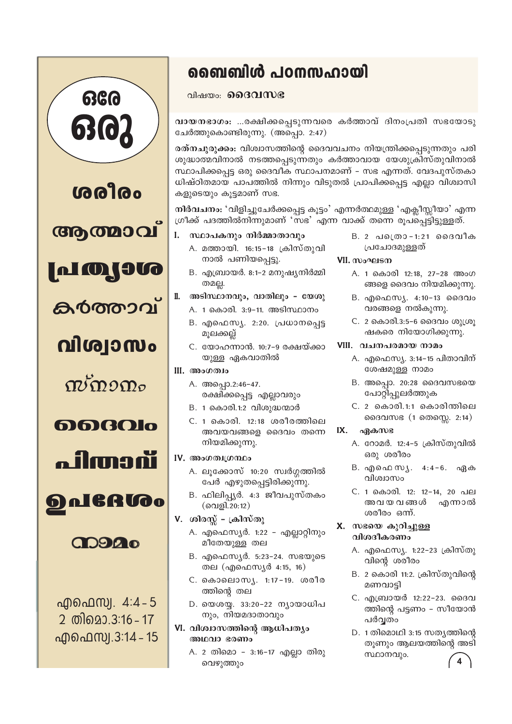

## ബൈബിൾ പഠനസഹായി

വിഷയം: **മൈവസഭ** 

വായനഭാഗം: ...രക്ഷിക്കപ്പെടുന്നവരെ കർത്താവ് ദിനംപ്രതി സഭയോടു ചേർത്തുകൊണ്ടിരുന്നു. (അപ്പൊ. 2:47)

രത്നചുരുക്കം: വിശ്വാസത്തിന്റെ ദൈവവചനം നിയന്ത്രിക്കപ്പെടുന്നതും പരി ശുദ്ധാത്മവിനാൽ നടത്തപ്പെടുന്നതും കർത്താവായ യേശുക്രിസ്തുവിനാൽ സ്ഥാപിക്കപ്പെട്ട ഒരു ദൈവീക സ്ഥാപനമാണ് - സഭ എന്നത്. വേദപുസ്തകാ ധിഷ്ഠിതമായ പാപത്തിൽ നിന്നും വിടുതൽ പ്രാപിക്കപ്പെട്ട എല്ലാ വിശ്വാസി കളുടെയും കൂട്ടമാണ് സഭ.

നിർവചനം: 'വിളിച്ചുചേർക്കപ്പെട്ട കൂട്ടം' എന്നർത്ഥമുള്ള 'എക്ലീസ്സീയാ' എന്ന ഗ്രീക്ക് പദത്തിൽനിന്നുമാണ് 'സഭ' എന്ന വാക്ക് തന്നെ രൂപപ്പെട്ടിട്ടുള്ളത്.

- സ്ഥാപകനും നിർമ്മാതാവും  $\mathbf{I}$ .
	- A. മത്തായി. 16:15-18 ക്രിസ്തുവി നാൽ പണിയപ്പെട്ടു.
	- B. എബ്രായർ. 8:1-2 മനുഷ്യനിർമ്മി തമല്ല.
- ΙΙ. അടിസ്ഥാനവും, വാതിലും - യേശു
	- A. 1 കൊരി. 3:9-11. അടിസ്ഥാനം
	- B. എഫെസ്യ. 2:20. പ്രധാനപ്പെട്ട മൂലക്കല്ല്
	- C. യോഹന്നാൻ. 10:7-9 രക്ഷയ്ക്കാ യുള്ള ഏകവാതിൽ

#### III. അംഗത്വം

- A. അപ്പൊ.2:46-47. രക്ഷിക്കപ്പെട്ട എല്ലാവരും
- B. 1 കൊരി.1:2 വിശുദ്ധന്മാർ
- C. 1 കൊരി, 12:18 ശരീരത്തിലെ അവയവങ്ങളെ ദൈവം തന്നെ നിയമിക്കുന്നു.
- IV. അംഗത്വഗ്രന്ഥം
	- A. ലൂക്കോസ് 10:20 സ്വർഗ്ഗത്തിൽ പേർ എഴുതപ്പെട്ടിരിക്കുന്നു.
	- B. ഫിലിപ്യർ. 4:3 ജീവപുസ്തകം  $($ വെളി. 20:12)
- V. ശിരസ്സ് ക്രിസ്തു
	- A. എഫെസ്യർ. 1:22 എല്ലാറ്റിനും മീതേയുള്ള തല
	- B. എഫെസ്യർ. 5:23-24. സഭയുടെ തല (എഫെസ്യർ 4:15, 16)
	- C. കൊലൊസ്യ. 1:17-19. ശരീര ത്തിന്റെ തല
	- D. യെശയ്യ. 33:20-22 ന്യായാധിപ നും, നിയമദാതാവും
- VI. വിശ്വാസത്തിന്റെ ആധിപത്യം അഥവാ ഭരണം
	- A. 2 തിമൊ 3:16-17 എല്ലാ തിരു വെഴുത്തും

 $B. 2$  പ്രൊ-1:21 മൈവീക പ്രചോദമുള്ളത്

#### VII. സംഘടന

- A. 1 കൊരി 12:18, 27-28 അംഗ ങ്ങളെ ദൈവം നിയമിക്കുന്നു.
- B. എഫെസ്യ. 4:10-13 ദൈവം വരങ്ങളെ നൽകുന്നു.
- C. 2 കൊരി.3:5-6 ദൈവം ശുശ്രൂ ഷകരെ നിയോഗിക്കുന്നു.
- VIII. വചനപരമായ നാമം
	- A. എഫെസ്യ. 3:14–15 പിതാവിന് ശേഷമുള്ള നാമം
	- $B.$  അപ്പൊ. 20:28 ദൈവസഭയെ പോറ്റിപ്പുലർത്തുക
	- C. 2 കൊരി.1:1 കൊരിന്തിലെ ദൈവസഭ (1 തെസ്സെ. 2:14)

#### IX. ഏകസഭ

- A. റോമർ. 12:4-5 ക്രിസ്തുവിൽ ഒരു ശരീരം
- B. എഫെ സ്യ. 4:4-6. ഏക വിശ്വാസം
- C. 1 കൊരി. 12: 12-14, 20 പല അവയവങ്ങൾ എന്നാൽ ശരീരം ഒന്ന്.

#### X. സഭയെ കുറിച്ചുള്ള വിശദീകരണം

- A. എഫെസ്യ. 1:22-23 ക്രിസ്തു വിന്റെ ശരീരം
- B. 2 കൊരി 11:2. ക്രിസ്തുവിന്റെ മണവാട്ടി
- C. എബ്രായർ 12:22-23, ദൈവ ത്തിന്റെ പട്ടണം – സീയോൻ പർവതം
- D. 1 തിമൊഥി 3:15 സത്യത്തിന്റെ തൂണും ആലയത്തിന്റെ അടി സ്ഥാനവും.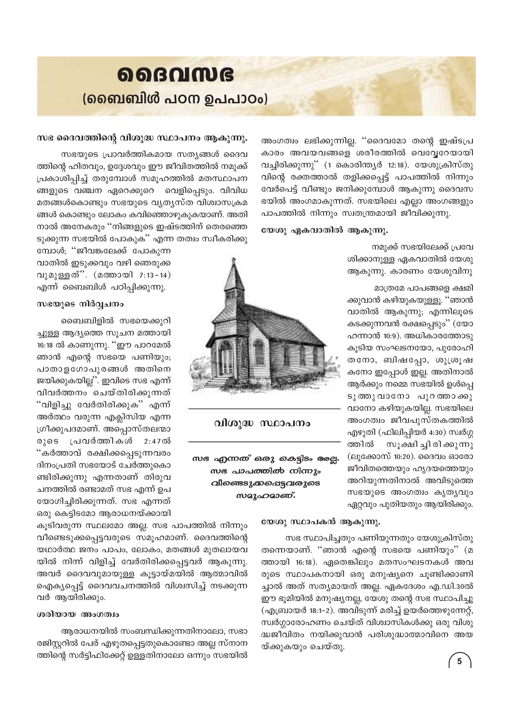

അംഗത്വം ലഭിക്കുന്നില്ല. ''ദൈവമോ തന്റെ ഇഷ്ടപ്ര കാരം അവയവങ്ങളെ ശരീരത്തിൽ വെവ്വേറേയായി വച്ചിരിക്കുന്നു" (1 കൊരിന്ത്യർ 12:18). യേശുക്രിസ്തു വിന്റെ രക്തത്താൽ തളിക്കപ്പെട്ട് പാപത്തിൽ നിന്നും വേർപെട്ട് വീണ്ടും ജനിക്കുമ്പോൾ ആകുന്നു ദൈവസ ഭയിൽ അംഗമാകുന്നത്. സഭയിലെ എല്ലാ അംഗങ്ങളും പാപത്തിൽ നിന്നും സ്വതന്ത്രമായി ജീവിക്കുന്നു.

#### യേശു ഏകവാതിൽ ആകുന്നു.

നമുക്ക് സഭയിലേക്ക് പ്രവേ ശിക്കാനുള്ള ഏകവാതിൽ യേശു ആകുന്നു. കാരണം യേശുവിനു

മാത്രമേ പാപങ്ങളെ ക്ഷമി

ക്കുവാൻ കഴിയുകയുള്ളൂ. ''ഞാൻ വാതിൽ ആകുന്നു; എന്നിലൂടെ കടക്കുന്നവൻ രക്ഷപ്പെടും'' (യോ ഹന്നാൻ 10:9). അധികാരത്തോടു കൂടിയ സംഘടനയോ, പുരോഹി തനോ, ബിഷപ്പോ, ശുശ്രൂഷ കനോ ഇപ്പോൾ ഇല്ല. അതിനാൽ ആർക്കും നമ്മെ സഭയിൽ ഉൾപ്പെ ടുത്തുവാനോ പുറത്താക്കു വാനോ കഴിയുകയില്ല. സഭയിലെ അംഗത്വം ജീവപുസ്തകത്തിൽ എഴുതി (ഫിലിപ്പിയർ 4:30) സ്വർഗ്ഗ ത്തിൽ സൂക്ഷി ച്ചി രി ക്കുന്നു (ലുക്കോസ് 10:20). ദൈവം ഓരോ ജീവിതത്തെയും ഹൃദയത്തെയും അറിയുന്നതിനാൽ അവിടുത്തെ സഭയുടെ അംഗത്വം കൃതൃവും ഏറ്റവും പുതിയതും ആയിരിക്കും.



#### വിശുദ്ധ സ്ഥാപനം

*സഭ എന്നത് ഒരു കെ*ട്ടിടം രേല്പ. *സഭ പാപത്തിൽ നിന്നും വീണ്ടെടുക്കപ്പെട്ടവരുടെ സമൂഹമാണ്*.

#### സഭ ദൈവത്തിന്റെ വിശുദ്ധ സ്ഥാപനം ആകുന്നു.

സഭയുടെ പ്രാവർത്തികമായ സത്യങ്ങൾ ദൈവ ത്തിന്റെ ഹിതവും, ഉദ്ദേശവും ഈ ജീവിതത്തിൽ നമുക്ക് പ്രകാശിപ്പിച്ച് തരുമ്പോൾ സമൂഹത്തിൽ മതസ്ഥാപന ങ്ങളുടെ വഞ്ചന ഏറെക്കുറെ വെളിപ്പെടും. വിവിധ മതങ്ങൾകൊണ്ടും സഭയുടെ വൃത്യസ്ത വിശ്വാസക്രമ ങ്ങൾ കൊണ്ടും ലോകം കവിഞ്ഞൊഴുകുകയാണ്. അതി നാൽ അനേകരും ''നിങ്ങളുടെ ഇഷ്ടത്തിന് തെരഞ്ഞെ ടുക്കുന്ന സഭയിൽ പോകുക" എന്ന തത്വം സ്വീകരിക്കു

മ്പോൾ; "ജീവങ്കലേക്ക് പോകുന്ന വാതിൽ ഇടുക്കവും വഴി ഞെരുക്ക വുമുള്ളത്". (മത്തായി 7:13-14) എന്ന് ബൈബിൾ പഠിപ്പിക്കുന്നു.

#### സഭയുടെ നിർവ്വചനം

ബൈബിളിൽ സഭയെക്കുറി ച്ചുള്ള ആദ്യത്തെ സൂചന മത്തായി 16:18 ൽ കാണുന്നു. ''ഈ പാറമേൽ ഞാൻ എന്റെ സഭയെ പണിയും; പാതാളഗോപുരങ്ങൾ അതിനെ ജയിക്കുകയില്ല". ഇവിടെ സഭ എന്ന് വിവർത്തനം ചെയ്തിരിക്കുന്നത് "വിളിച്ചു വേർതിരിക്കുക" എന്ന് അർത്ഥം വരുന്ന എക്ലിസിയ എന്ന ഗ്രീക്കുപദമാണ്. അപ്പൊസ്തലന്മാ രുടെ പ്രവർത്തികൾ 2 : 4 7 ൽ "കർത്താവ് രക്ഷിക്കപ്പെടുന്നവരം ദിനംപ്രതി സഭയോട് ചേർത്തുകൊ ണ്ടിരിക്കുന്നു എന്നതാണ് തിരുവ ചനത്തിൽ രണ്ടാമത് സഭ എന്ന് ഉപ യോഗിച്ചിരിക്കുന്നത്. സഭ എന്നത് ഒരു കെട്ടിടമോ ആരാധനയ്ക്കായി

കൂടിവരുന്ന സ്ഥലമോ അല്ല. സഭ പാപത്തിൽ നിന്നും വീണ്ടെടുക്കപ്പെട്ടവരുടെ സമൂഹമാണ്. ദൈവത്തിന്റെ യഥാർത്ഥ ജനം പാപം, ലോകം, മതങ്ങൾ മുതലായവ യിൽ നിന്ന് വിളിച്ച് വേർതിരിക്കപ്പെട്ടവർ ആകുന്നു. അവർ ദൈവവുമായുള്ള കൂട്ടായ്മയിൽ ആത്മാവിൽ ഐക്യപ്പെട്ട് ദൈവവചനത്തിൽ വിശ്വസിച്ച് നടക്കുന്ന വർ ആയിരിക്കും.

#### ശരിയായ അംഗത്വം

ആരാധനയിൽ സംബന്ധിക്കുന്നതിനാലോ, സഭാ രജിസ്റ്ററിൽ പേര് എഴുതപ്പെട്ടതുകൊണ്ടോ അല്ല സ്നാന ത്തിന്റെ സർട്ടിഫിക്കേറ്റ് ഉള്ളതിനാലോ ഒന്നും സഭയിൽ

#### യേശു സ്ഥാപകൻ ആകുന്നു.

സഭ സ്ഥാപിച്ചതും പണിയുന്നതും യേശുക്രിസ്തു തന്നെയാണ്. ''ഞാൻ എന്റെ സഭയെ പണിയും'' (മ ത്തായി 16:18). ഏതെങ്കിലും മതസംഘടനകൾ അവ രുടെ സ്ഥാപകനായി ഒരു മനുഷ്യനെ ചൂണ്ടിക്കാണി ച്ചാൽ അത് സത്യമായത് അല്ല. ഏകദേശം എ.ഡി.30ൽ ഈ ഭൂമിയിൽ മനുഷ്യനല്ല, യേശു തന്റെ സഭ സ്ഥാപിച്ചു (എബ്രായർ 18:1-2). അവിടുന്ന് മരിച്ച് ഉയർത്തെഴുന്നേറ്റ്, സ്വർഗ്ഗാരോഹണം ചെയ്ത് വിശ്വാസികൾക്കു ഒരു വിശു ദ്ധജീവിതം നയിക്കുവാൻ പരിശുദ്ധാത്മാവിനെ അയ യ്ക്കുകയും ചെയ്തു.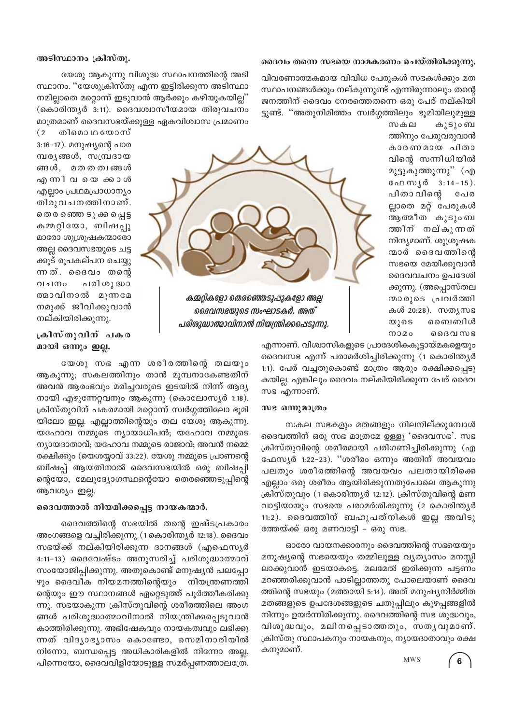#### ദൈവം തന്നെ സഭയെ നാമകരണം ചെയ്തിരിക്കുന്നു.

#### അടിസ്ഥാനം ക്രിസ്തു.

തിമൊ ഥ യോസ്

 $(2)$ 

വിവരണാത്മകമായ വിവിധ പേരുകൾ സഭകൾക്കും മത സ്ഥാപനങ്ങൾക്കും നല്കുന്നുണ്ട് എന്നിരുന്നാലും തന്റെ ജനത്തിന് ദൈവം നേരത്തെതന്നെ ഒരു പേര് നല്കിയി ട്ടുണ്ട്. ''അതുനിമിത്തം സ്വർഗ്ഗത്തിലും ഭൂമിയിലുമുള്ള

യേശു ആകുന്നു വിശുദ്ധ സ്ഥാപനത്തിന്റെ അടി സ്ഥാനം. ''യേശുക്രിസ്തു എന്ന ഇട്ടിരിക്കുന്ന അടിസ്ഥാ നമില്ലാതെ മറ്റൊന്ന് ഇടുവാൻ ആർക്കും കഴിയുകയില്ല" (കൊരിന്ത്യർ 3:11). ദൈവശ്വാസീയമായ തിരുവചനം മാത്രമാണ് ദൈവസഭയ്ക്കുള്ള ഏകവിശ്വാസ പ്രമാണം

സകല കൂടുംബ ത്തിനും പേരുവരുവാൻ കാരണമായ പിതാ വിന്റെ സന്നിധിയിൽ മുട്ടുകുത്തുന്നു'' (എ ഫേസൃർ 3:14-15). പിതാ വിന്റെ പേര ല്ലാതെ മറ്റ് പേരുകൾ ആത്മീത കുടുംബ ത്തിന് നല്കുന്നത് നിന്ദ്യമാണ്. ശുശ്രൂഷക ന്മാർ ദൈവത്തിന്റെ സഭയെ മേയിക്കുവാൻ ദൈവവചനം ഉപദേശി ക്കുന്നു. (അപ്പൊസ്തല നമാരുടെ പ്രവർത്തി കൾ 20:28). സത്യസഭ യുടെ ബൈബിൾ നാമം ഹൈസഭ



ദൈവസഭയുടെ സംഘാടകർ. അത് പരിശുദ്ധാത്മാവിനാൽ നിയന്ത്രിക്കപ്പെടുന്നു.

3:16-17). മനുഷ്യന്റെ പാര മ്പര്യങ്ങൾ, സമ്പ്രദായ ങ്ങൾ, മതതത്വങ്ങൾ ഹാനിവയെ കൊശ് എല്ലാം പ്രഥമപ്രാധാന്യം തിരുവചനത്തിനാണ്. തെരഞ്ഞെ ടൂ ക്കപ്പെട്ട കമ്മറ്റിയോ, ബിഷപ്പു മാരോ ശുശ്രൂഷകന്മാരോ അല്ല ദൈവസഭയുടെ ചട്ട ക്കുട് രൂപകല്പന ചെയ്യു ന്നത്. ദൈവം തന്റെ പരി ശു ദ്ധാ വചനം ത്മാവിനാൽ മുന്നമേ നമുക്ക് ജീവിക്കുവാൻ നല്കിയിരിക്കുന്നു.

ക്രിസ്തുവിന് പകര മായി ഒന്നും ഇല്ല.

യേശു സഭ എന്ന ശരീരത്തിന്റെ തലയും ആകുന്നു; സകലത്തിനും താൻ മുമ്പനാകേണ്ടതിന് അവൻ ആരംഭവും മരിച്ചവരുടെ ഇടയിൽ നിന്ന് ആദ്യ നായി എഴുന്നേറ്റവനും ആകുന്നു (കൊലോസ്യർ 1:18). ക്രിസ്തുവിന് പകരമായി മറ്റൊന്ന് സ്വർഗ്ഗത്തിലോ ഭൂമി യിലോ ഇല്ല. എല്ലാത്തിന്റെയും തല യേശു ആകുന്നു. യഹോവ നമ്മുടെ ന്യായാധിപൻ; യഹോവ നമ്മുടെ ന്യായദാതാവ്; യഹോവ നമ്മുടെ രാജാവ്; അവൻ നമ്മെ രക്ഷിക്കും (യെശയ്യാവ് 33:22). യേശു നമ്മുടെ പ്രാണന്റെ ബിഷപ്പ് ആയതിനാൽ ദൈവസഭയിൽ ഒരു ബിഷപ്പി ന്റെയോ, മേലുദ്യോഗസ്ഥന്റെയോ തെരഞ്ഞെടുപ്പിന്റെ ആവശ്യം ഇല്ല.

#### ദൈവത്താൽ നിയമിക്കപ്പെട്ട നായകന്മാർ.

ദൈവത്തിന്റെ സഭയിൽ തന്റെ ഇഷ്ടപ്രകാരം അംഗങ്ങളെ വച്ചിരിക്കുന്നു (1കൊരിന്ത്യർ 12:18). ദൈവം സഭയ്ക്ക് നല്കിയിരിക്കുന്ന ദാനങ്ങൾ (എഫെസ്യർ 4:11-13) ദൈവേഷ്ടം അനുസരിച്ച് പരിശുദ്ധാത്മാവ് സംയോജിപ്പിക്കുന്നു. അതുകൊണ്ട് മനുഷ്യൻ പലപ്പോ ഴും ദൈവീക നിയമനത്തിന്റെയും നിയന്ത്രണത്തി ന്റെയും ഈ സ്ഥാനങ്ങൾ ഏറ്റെടുത്ത് പൂർത്തീകരിക്കു ന്നു. സഭയാകുന്ന ക്രിസ്തുവിന്റെ ശരീരത്തിലെ അംഗ ങ്ങൾ പരിശുദ്ധാത്മാവിനാൽ നിയന്ത്രിക്കപ്പെടുവാൻ കാത്തിരിക്കുന്നു. അഭിഷേകവും നായകത്വവും ലഭിക്കു ന്നത് വിദ്യാഭ്യാസം കൊണ്ടോ, സെമിനാരിയിൽ നിന്നോ, ബന്ധപ്പെട്ട അധികാരികളിൽ നിന്നോ അല്ല, പിന്നെയോ, ദൈവവിളിയോടുള്ള സമർപ്പണത്താലത്രേ.

എന്നാണ്. വിശ്വാസികളുടെ പ്രാദേശികകൂട്ടായ്മകളെയും ദൈവസഭ എന്ന് പരാമർശിച്ചിരിക്കുന്നു (1 കൊരിന്ത്യർ 1:1). പേര് വച്ചതുകൊണ്ട് മാത്രം ആരും രക്ഷിക്കപ്പെടു കയില്ല. എങ്കിലും ദൈവം നല്കിയിരിക്കുന്ന പേര് ദൈവ സഭ എന്നാണ്.

#### സഭ ഒന്നുമാത്രം

സകല സഭകളും മതങ്ങളും നിലനില്ക്കുമ്പോൾ ദൈവത്തിന് ഒരു സഭ മാത്രമേ ഉള്ളൂ 'ദൈവസഭ'. സഭ ക്രിസ്തുവിന്റെ ശരീരമായി പരിഗണിച്ചിരിക്കുന്നു (എ ഫേസ്യർ 1:22-23). ''ശരീരം ഒന്നും അതിന് അവയവം പലതും ശരീരത്തിന്റെ അവയവം പലതായിരിക്കെ എല്ലാം ഒരു ശരീരം ആയിരിക്കുന്നതുപോലെ ആകുന്നു ക്രിസ്തുവും (1 കൊരിന്ത്യർ 12:12). ക്രിസ്തുവിന്റെ മണ വാട്ടിയായും സഭയെ പരാമർശിക്കുന്നു (2 കൊരിന്ത്യർ 11:2). ദൈവത്തിന് ബഹുപത്നികൾ ഇല്ല അവിടു ത്തേയ്ക്ക് ഒരു മണവാട്ടി – ഒരു സഭ.

ഓരോ വായനക്കാരനും ദൈവത്തിന്റെ സഭയെയും മനുഷ്യന്റെ സഭയെയും തമ്മിലുള്ള വ്യത്യാസം മനസ്സി ലാക്കുവാൻ ഇടയാകട്ടെ. മലമേൽ ഇരിക്കുന്ന പട്ടണം മറഞ്ഞരിക്കുവാൻ പാടില്ലാത്തതു പോലെയാണ് ദൈവ ത്തിന്റെ സഭയും (മത്തായി 5:14). അത് മനുഷ്യനിർമ്മിത മതങ്ങളുടെ ഉപദേശങ്ങളുടെ ചതുപ്പിലും കുഴപ്പങ്ങളിൽ നിന്നും ഉയർന്നിരിക്കുന്നു. ദൈവത്തിന്റെ സഭ ശുദ്ധവും, വിശുദ്ധവും, മലിനപ്പെടാത്തതും, സതൃവുമാണ്. ക്രിസ്തു സ്ഥാപകനും നായകനും, ന്യായദാതാവും രക്ഷ കനുമാണ്. **MWS**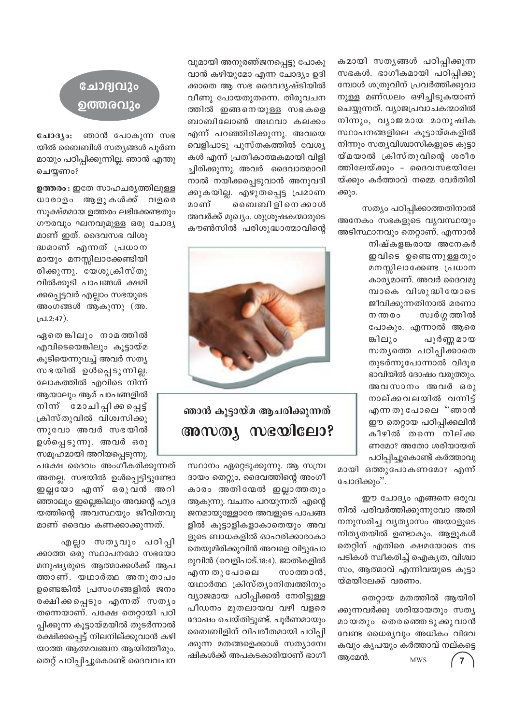കമായി സതൃങ്ങൾ പഠിപ്പിക്കുന്ന സഭകൾ. ഭാഗീകമായി പഠിപ്പിക്കു മ്പോൾ ശത്രുവിന് പ്രവർത്തിക്കുവാ നുള്ള മണ്ഡലം ഒഴിച്ചിടുകയാണ് ചെയ്യുന്നത്. വ്യാജപ്രവാചകന്മാരിൽ നിന്നും, വ്യാജമായ മാനുഷിക സ്ഥാപനങ്ങളിലെ കൂട്ടായ്മകളിൽ നിന്നും സത്യവിശ്വാസികളുടെ കൂട്ടാ യ്മയാൽ ക്രിസ്തുവിന്റെ ശരീര ത്തിലേയ്ക്കും - ദൈവസഭയിലേ യ്ക്കും കർത്താവ് നമ്മെ വേർതിരി ക്കും.

സത്യം പഠിപ്പിക്കാത്തതിനാൽ അനേകം സഭകളുടെ വ്യവസ്ഥയും അടിസ്ഥാനവും തെറ്റാണ്. എന്നാൽ

> നിഷ്കളങ്കരായ അനേകർ ഇവിടെ ഉണ്ടെന്നുള്ളതും മനസ്സിലാക്കേണ്ട പ്രധാന കാര്യമാണ്. അവർ ദൈവമു മ്പാകെ വിശുദ്ധിയോടെ ജീവിക്കുന്നതിനാൽ മരണാ ന ന്തരം സ്വർഗ്ഗ ത്തിൽ പോകും. എന്നാൽ ആരെ പൂർണ്ണ മായ ങ്കിലും സത്യത്തെ പഠിപ്പിക്കാതെ തുടർന്നുപോന്നാൽ വിദൂര ഭാവിയിൽ ദോഷം വരുത്തും. അവസാനം അവർ ഒരു നാല്ക്കവലയിൽ വന്നിട്ട് എന്നതുപോലെ "ഞാൻ ഈ തെറ്റായ പഠിപ്പിക്കലിൻ കീഴിൽ തന്നെ നില്ക്ക ണമോ? അതോ ശരിയായത് പഠിപ്പിച്ചുകൊണ്ട് കർത്താവു

മായി ഒത്തുപോകണമോ? എന്ന് ചോദിക്കും''.

ഈ ചോദ്യം എങ്ങനെ ഒരുവ നിൽ പരിവർത്തിക്കുന്നുവോ അതി നനുസരിച്ച വ്യത്യാസം അയാളുടെ നിത്യതയിൽ ഉണ്ടാകും. ആളുകൾ തെറ്റിന് എതിരെ ക്ഷമയോടെ നട പടികൾ സ്വീകരിച്ച് ഐക്യത, വിശ്വാ സം, ആത്മാവ് എന്നിവയുടെ കൂട്ടാ യ്മയിലേക്ക് വരണം.

തെറ്റായ മതത്തിൽ ആയിരി ക്കുന്നവർക്കു ശരിയായതും സത്യ മായതും തെരഞ്ഞെടുക്കുവാൻ വേണ്ട ധൈര്യവും അധികം വിവേ കവും കൃപയും കർത്താവ് നല്കട്ടെ ആമേൻ.  $\mathbf{7}$ **MWS** 

വുമായി അനുരഞ്ജനപ്പെട്ടു പോകു വാൻ കഴിയുമോ എന്ന ചോദ്യം ഉദി ക്കാതെ ആ സഭ ദൈവദൃഷ്ടിയിൽ വീണു പോയതുതന്നെ. തിരുവചന ത്തിൽ ഇങ്ങനെയുള്ള സഭകളെ ബാബിലോൺ അഥവാ കലക്കം എന്ന് പറഞ്ഞിരിക്കുന്നു. അവയെ വെളിപാടു പുസ്തകത്തിൽ വേശ്യ കൾ എന്ന് പ്രതീകാത്മകമായി വിളി ച്ചിരിക്കുന്നു. അവർ ദൈവാത്മാവി നാൽ നയിക്കപ്പെടുവാൻ അനുവദി ക്കുകയില്ല. എഴുതപ്പെട്ട പ്രമാണ ബൈബി ളി നെ ക്കാൾ മാണ് അവർക്ക് മുഖ്യം. ശുശ്രൂഷകന്മാരുടെ കൗൺസിൽ പരിശുദ്ധാത്മാവിന്റെ



ഞാൻ കൂട്ടായ്മ ആചരിക്കുന്നത് അസത്യ സഭയിലോ?

സ്ഥാനം ഏറ്റെടുക്കുന്നു. ആ സമ്പ്ര ദായം തെറ്റും, ദൈവത്തിന്റെ അംഗീ കാരം അതിന്മേൽ ഇല്ലാത്തതും ആകുന്നു. വചനം പറയുന്നത് എന്റെ ജനമായുള്ളോരേ അവളുടെ പാപങ്ങ ളിൽ കൂട്ടാളികളാകാതെയും അവ ളുടെ ബാധകളിൽ ഓഹരിക്കാരാകാ തെയുമിരിക്കുവിൻ അവളെ വിട്ടുപോ രുവിൻ (വെളിപാട്.18:4). ജാതികളിൽ എന്ന തു പോലെ സാത്താൻ, യഥാർത്ഥ ക്രിസ്ത്യാനിത്വത്തിനും വ്യാജമായ പഠിപ്പിക്കൽ നേരിട്ടുള്ള പീഡനം മുതലായവ വഴി വളരെ ദോഷം ചെയ്തിട്ടുണ്ട്. പൂർണമായും ബൈബിളിന് വിപരീതമായി പഠിപ്പി ക്കുന്ന മതങ്ങളെക്കാൾ സത്യാന്വേ ഷികൾക്ക് അപകടകാരിയാണ് ഭാഗീ

### ചോദ്വവും ഉത്തരവും

ചോദ്യം: ഞാൻ പോകുന്ന സഭ യിൽ ബൈബിൾ സതൃങ്ങൾ പൂർണ മായും പഠിപ്പിക്കുന്നില്ല. ഞാൻ എന്തു ചെയ്യണം?

ഉത്തരം : ഇതേ സാഹചര്യത്തിലുള്ള ധാരാളം ആളുകൾക്ക് വളരെ സൂക്ഷ്മമായ ഉത്തരം ലഭിക്കേണ്ടതും ഗൗരവും ഘനവുമുള്ള ഒരു ചോദ്യ

മാണ് ഇത്. ദൈവസഭ വിശു ദ്ധമാണ് എന്നത് പ്രധാന മായും മനസ്സിലാക്കേണ്ടിയി രിക്കുന്നു. യേശുക്രിസ്തു വിൽക്കൂടി പാപങ്ങൾ ക്ഷമി ക്കപ്പെട്ടവർ എല്ലാം സഭയുടെ അംഗങ്ങൾ ആകുന്നു (അ.  $\lfloor$   $\Delta$  1.2:47).

ഏതെ ങ്കിലും നാമത്തിൽ എവിടെയെങ്കിലും കൂട്ടായ്മ കൂടിയെന്നുവച്ച് അവർ സത്യ സഭയിൽ ഉൾപ്പെടുന്നില്ല. ലോകത്തിൽ എവിടെ നിന്ന് ആയാലും ആര് പാപങ്ങളിൽ നിന്ന് മോചിപ്പിക്കപ്പെട്ട് ക്രിസ്തുവിൽ വിശ്വസിക്കു ന്നുവോ അവർ സഭയിൽ ഉൾപ്പെടുന്നു. അവർ ഒരു സമൂഹമായി അറിയപ്പെടുന്നു.

പക്ഷേ ദൈവം അംഗീകരിക്കുന്നത് അതല്ല. സഭയിൽ ഉൾപ്പെട്ടിട്ടുണ്ടോ ഇല്ലയോ എന്ന് ഒരുവൻ അറി ഞ്ഞാലും ഇല്ലെങ്കിലും അവന്റെ ഹൃദ യത്തിന്റെ അവസ്ഥയും ജീവിതവു മാണ് ദൈവം കണക്കാക്കുന്നത്.

എല്ലാ സതൃവും പഠിപ്പി ക്കാത്ത ഒരു സ്ഥാപനമോ സഭയോ മനുഷ്യരുടെ ആത്മാക്കൾക്ക് ആപ ത്താണ്. യഥാർത്ഥ അനുതാപം ഉണ്ടെങ്കിൽ പ്രസംഗങ്ങളിൽ ജനം രക്ഷിക്കപ്പെടും എന്നത് സതൃം തന്നെയാണ്. പക്ഷേ തെറ്റായി പഠി പ്പിക്കുന്ന കൂട്ടായ്മയിൽ തുടർന്നാൽ രക്ഷിക്കപ്പെട്ട് നിലനില്ക്കുവാൻ കഴി യാത്ത ആത്മവഞ്ചന ആയിത്തീരും. തെറ്റ് പഠിപ്പിച്ചുകൊണ്ട് ദൈവവചന